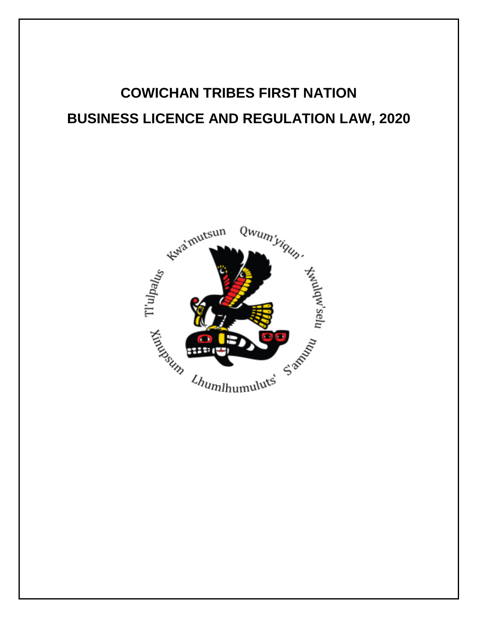# **COWICHAN TRIBES FIRST NATION BUSINESS LICENCE AND REGULATION LAW, 2020**

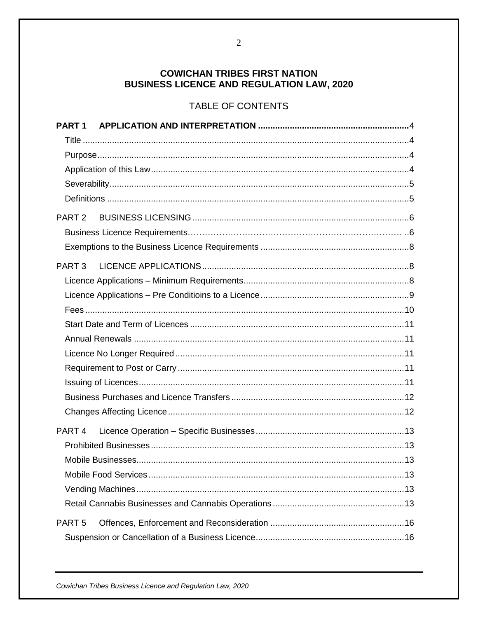## **COWICHAN TRIBES FIRST NATION BUSINESS LICENCE AND REGULATION LAW, 2020**

## TABLE OF CONTENTS

| PART <sub>1</sub> |  |
|-------------------|--|
|                   |  |
|                   |  |
|                   |  |
|                   |  |
|                   |  |
| PART <sub>2</sub> |  |
|                   |  |
|                   |  |
|                   |  |
|                   |  |
|                   |  |
|                   |  |
|                   |  |
|                   |  |
|                   |  |
|                   |  |
|                   |  |
|                   |  |
|                   |  |
| PART <sub>4</sub> |  |
|                   |  |
|                   |  |
|                   |  |
|                   |  |
|                   |  |
| PART <sub>5</sub> |  |
|                   |  |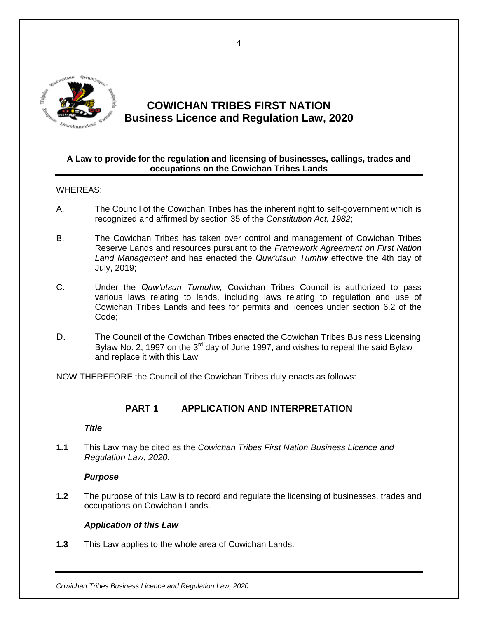

# **COWICHAN TRIBES FIRST NATION Business Licence and Regulation Law, 2020**

#### **A Law to provide for the regulation and licensing of businesses, callings, trades and occupations on the Cowichan Tribes Lands**

#### WHEREAS:

- A. The Council of the Cowichan Tribes has the inherent right to self-government which is recognized and affirmed by section 35 of the *Constitution Act, 1982*;
- B. The Cowichan Tribes has taken over control and management of Cowichan Tribes Reserve Lands and resources pursuant to the *Framework Agreement on First Nation Land Management* and has enacted the *Quw'utsun Tumhw* effective the 4th day of July, 2019;
- C. Under the *Quw'utsun Tumuhw,* Cowichan Tribes Council is authorized to pass various laws relating to lands, including laws relating to regulation and use of Cowichan Tribes Lands and fees for permits and licences under section 6.2 of the Code;
- D. The Council of the Cowichan Tribes enacted the Cowichan Tribes Business Licensing Bylaw No. 2, 1997 on the  $3<sup>rd</sup>$  day of June 1997, and wishes to repeal the said Bylaw and replace it with this Law;

NOW THEREFORE the Council of the Cowichan Tribes duly enacts as follows:

## <span id="page-3-0"></span>**PART 1 APPLICATION AND INTERPRETATION**

#### *Title*

<span id="page-3-1"></span>**1.1** This Law may be cited as the *Cowichan Tribes First Nation Business Licence and Regulation Law*, *2020.*

#### *Purpose*

<span id="page-3-2"></span>**1.2** The purpose of this Law is to record and regulate the licensing of businesses, trades and occupations on Cowichan Lands.

#### *Application of this Law*

<span id="page-3-3"></span>**1.3** This Law applies to the whole area of Cowichan Lands.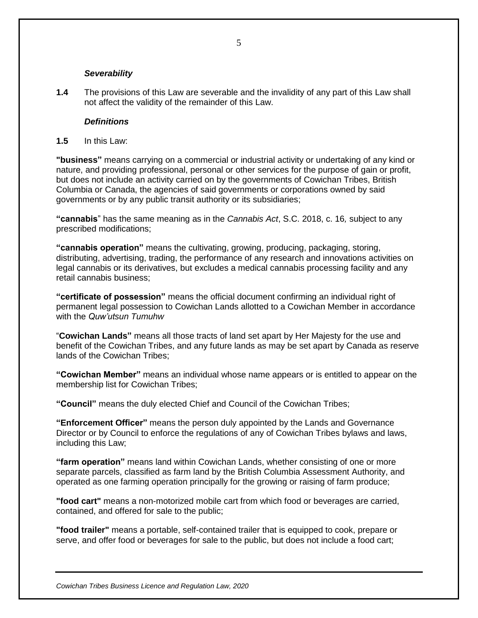#### *Severability*

<span id="page-4-0"></span>**1.4** The provisions of this Law are severable and the invalidity of any part of this Law shall not affect the validity of the remainder of this Law.

#### *Definitions*

<span id="page-4-1"></span>**1.5** In this Law:

**"business"** means carrying on a commercial or industrial activity or undertaking of any kind or nature, and providing professional, personal or other services for the purpose of gain or profit, but does not include an activity carried on by the governments of Cowichan Tribes, British Columbia or Canada, the agencies of said governments or corporations owned by said governments or by any public transit authority or its subsidiaries;

**"cannabis**" has the same meaning as in the *Cannabis Act*, S.C. 2018, c. 16*,* subject to any prescribed modifications;

**"cannabis operation"** means the cultivating, growing, producing, packaging, storing, distributing, advertising, trading, the performance of any research and innovations activities on legal cannabis or its derivatives, but excludes a medical cannabis processing facility and any retail cannabis business;

**"certificate of possession"** means the official document confirming an individual right of permanent legal possession to Cowichan Lands allotted to a Cowichan Member in accordance with the *Quw'utsun Tumuhw*

"**Cowichan Lands"** means all those tracts of land set apart by Her Majesty for the use and benefit of the Cowichan Tribes, and any future lands as may be set apart by Canada as reserve lands of the Cowichan Tribes;

**"Cowichan Member"** means an individual whose name appears or is entitled to appear on the membership list for Cowichan Tribes;

**"Council"** means the duly elected Chief and Council of the Cowichan Tribes;

**"Enforcement Officer"** means the person duly appointed by the Lands and Governance Director or by Council to enforce the regulations of any of Cowichan Tribes bylaws and laws, including this Law;

**"farm operation"** means land within Cowichan Lands, whether consisting of one or more separate parcels, classified as farm land by the British Columbia Assessment Authority, and operated as one farming operation principally for the growing or raising of farm produce;

**"food cart"** means a non-motorized mobile cart from which food or beverages are carried, contained, and offered for sale to the public;

**"food trailer"** means a portable, self-contained trailer that is equipped to cook, prepare or serve, and offer food or beverages for sale to the public, but does not include a food cart;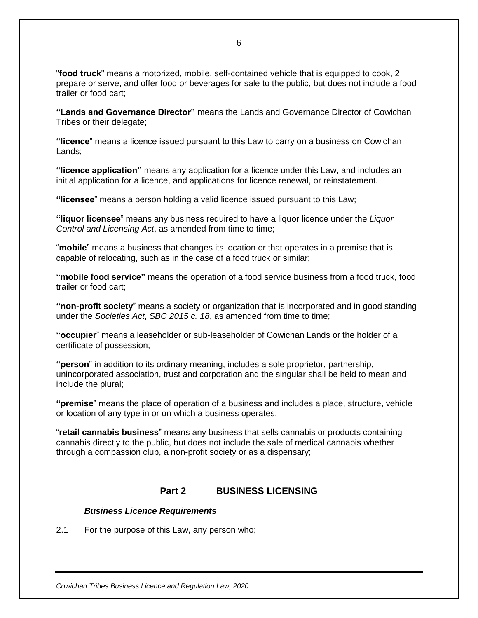"**food truck**" means a motorized, mobile, self-contained vehicle that is equipped to cook, 2 prepare or serve, and offer food or beverages for sale to the public, but does not include a food trailer or food cart;

**"Lands and Governance Director"** means the Lands and Governance Director of Cowichan Tribes or their delegate;

**"licence**" means a licence issued pursuant to this Law to carry on a business on Cowichan Lands;

**"licence application"** means any application for a licence under this Law, and includes an initial application for a licence, and applications for licence renewal, or reinstatement.

**"licensee**" means a person holding a valid licence issued pursuant to this Law;

**"liquor licensee**" means any business required to have a liquor licence under the *Liquor Control and Licensing Act*, as amended from time to time;

"**mobile**" means a business that changes its location or that operates in a premise that is capable of relocating, such as in the case of a food truck or similar;

**"mobile food service"** means the operation of a food service business from a food truck, food trailer or food cart;

**"non-profit society**" means a society or organization that is incorporated and in good standing under the *Societies Act*, *SBC 2015 c. 18*, as amended from time to time;

**"occupier**" means a leaseholder or sub-leaseholder of Cowichan Lands or the holder of a certificate of possession;

**"person**" in addition to its ordinary meaning, includes a sole proprietor, partnership, unincorporated association, trust and corporation and the singular shall be held to mean and include the plural;

**"premise**" means the place of operation of a business and includes a place, structure, vehicle or location of any type in or on which a business operates;

"**retail cannabis business**" means any business that sells cannabis or products containing cannabis directly to the public, but does not include the sale of medical cannabis whether through a compassion club, a non-profit society or as a dispensary;

#### **Part 2 BUSINESS LICENSING**

#### <span id="page-5-0"></span>*Business Licence Requirements*

2.1 For the purpose of this Law, any person who;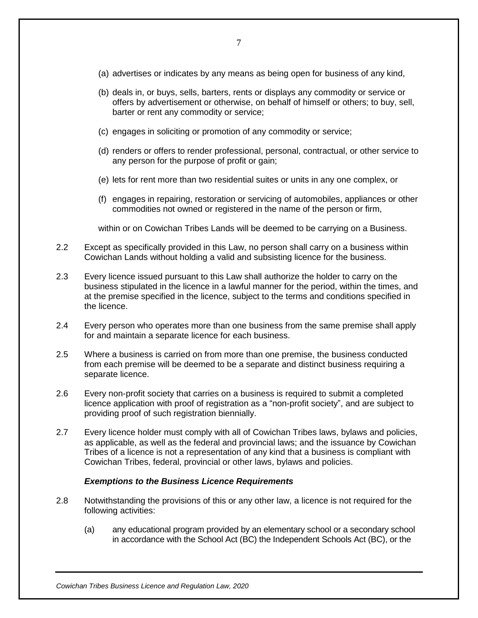- 7
- (a) advertises or indicates by any means as being open for business of any kind,
- (b) deals in, or buys, sells, barters, rents or displays any commodity or service or offers by advertisement or otherwise, on behalf of himself or others; to buy, sell, barter or rent any commodity or service;
- (c) engages in soliciting or promotion of any commodity or service;
- (d) renders or offers to render professional, personal, contractual, or other service to any person for the purpose of profit or gain;
- (e) lets for rent more than two residential suites or units in any one complex, or
- (f) engages in repairing, restoration or servicing of automobiles, appliances or other commodities not owned or registered in the name of the person or firm,

within or on Cowichan Tribes Lands will be deemed to be carrying on a Business.

- 2.2 Except as specifically provided in this Law, no person shall carry on a business within Cowichan Lands without holding a valid and subsisting licence for the business.
- 2.3 Every licence issued pursuant to this Law shall authorize the holder to carry on the business stipulated in the licence in a lawful manner for the period, within the times, and at the premise specified in the licence, subject to the terms and conditions specified in the licence.
- 2.4 Every person who operates more than one business from the same premise shall apply for and maintain a separate licence for each business.
- 2.5 Where a business is carried on from more than one premise, the business conducted from each premise will be deemed to be a separate and distinct business requiring a separate licence.
- 2.6 Every non-profit society that carries on a business is required to submit a completed licence application with proof of registration as a "non-profit society", and are subject to providing proof of such registration biennially.
- 2.7 Every licence holder must comply with all of Cowichan Tribes laws, bylaws and policies, as applicable, as well as the federal and provincial laws; and the issuance by Cowichan Tribes of a licence is not a representation of any kind that a business is compliant with Cowichan Tribes, federal, provincial or other laws, bylaws and policies.

#### *Exemptions to the Business Licence Requirements*

- <span id="page-6-0"></span>2.8 Notwithstanding the provisions of this or any other law, a licence is not required for the following activities:
	- (a) any educational program provided by an elementary school or a secondary school in accordance with the School Act (BC) the Independent Schools Act (BC), or the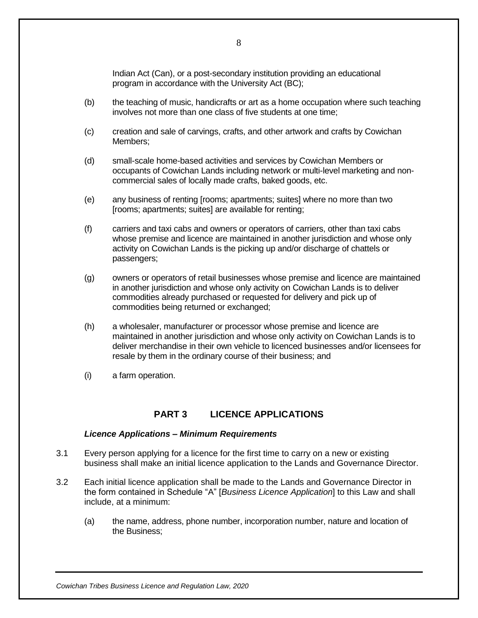Indian Act (Can), or a post-secondary institution providing an educational program in accordance with the University Act (BC);

- (b) the teaching of music, handicrafts or art as a home occupation where such teaching involves not more than one class of five students at one time;
- (c) creation and sale of carvings, crafts, and other artwork and crafts by Cowichan Members;
- (d) small-scale home-based activities and services by Cowichan Members or occupants of Cowichan Lands including network or multi-level marketing and noncommercial sales of locally made crafts, baked goods, etc.
- (e) any business of renting [rooms; apartments; suites] where no more than two [rooms; apartments; suites] are available for renting;
- (f) carriers and taxi cabs and owners or operators of carriers, other than taxi cabs whose premise and licence are maintained in another jurisdiction and whose only activity on Cowichan Lands is the picking up and/or discharge of chattels or passengers;
- (g) owners or operators of retail businesses whose premise and licence are maintained in another jurisdiction and whose only activity on Cowichan Lands is to deliver commodities already purchased or requested for delivery and pick up of commodities being returned or exchanged;
- (h) a wholesaler, manufacturer or processor whose premise and licence are maintained in another jurisdiction and whose only activity on Cowichan Lands is to deliver merchandise in their own vehicle to licenced businesses and/or licensees for resale by them in the ordinary course of their business; and
- (i) a farm operation.

## **PART 3 LICENCE APPLICATIONS**

#### <span id="page-7-0"></span>*Licence Applications – Minimum Requirements*

- <span id="page-7-1"></span>3.1 Every person applying for a licence for the first time to carry on a new or existing business shall make an initial licence application to the Lands and Governance Director.
- 3.2 Each initial licence application shall be made to the Lands and Governance Director in the form contained in Schedule "A" [*Business Licence Application*] to this Law and shall include, at a minimum:
	- (a) the name, address, phone number, incorporation number, nature and location of the Business;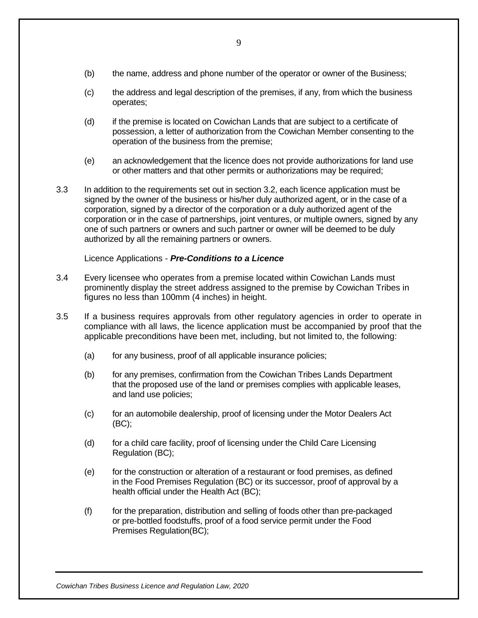- (b) the name, address and phone number of the operator or owner of the Business;
- (c) the address and legal description of the premises, if any, from which the business operates;
- (d) if the premise is located on Cowichan Lands that are subject to a certificate of possession, a letter of authorization from the Cowichan Member consenting to the operation of the business from the premise;
- (e) an acknowledgement that the licence does not provide authorizations for land use or other matters and that other permits or authorizations may be required;
- 3.3 In addition to the requirements set out in section 3.2, each licence application must be signed by the owner of the business or his/her duly authorized agent, or in the case of a corporation, signed by a director of the corporation or a duly authorized agent of the corporation or in the case of partnerships, joint ventures, or multiple owners, signed by any one of such partners or owners and such partner or owner will be deemed to be duly authorized by all the remaining partners or owners.

#### Licence Applications - *Pre-Conditions to a Licence*

- <span id="page-8-0"></span>3.4 Every licensee who operates from a premise located within Cowichan Lands must prominently display the street address assigned to the premise by Cowichan Tribes in figures no less than 100mm (4 inches) in height.
- 3.5 If a business requires approvals from other regulatory agencies in order to operate in compliance with all laws, the licence application must be accompanied by proof that the applicable preconditions have been met, including, but not limited to, the following:
	- (a) for any business, proof of all applicable insurance policies;
	- (b) for any premises, confirmation from the Cowichan Tribes Lands Department that the proposed use of the land or premises complies with applicable leases, and land use policies;
	- (c) for an automobile dealership, proof of licensing under the Motor Dealers Act (BC);
	- (d) for a child care facility, proof of licensing under the Child Care Licensing Regulation (BC);
	- (e) for the construction or alteration of a restaurant or food premises, as defined in the Food Premises Regulation (BC) or its successor, proof of approval by a health official under the Health Act (BC);
	- (f) for the preparation, distribution and selling of foods other than pre-packaged or pre-bottled foodstuffs, proof of a food service permit under the Food Premises Regulation(BC);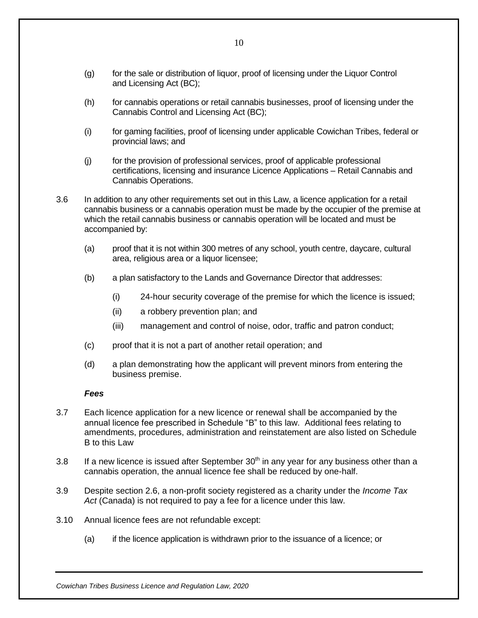- (g) for the sale or distribution of liquor, proof of licensing under the Liquor Control and Licensing Act (BC);
- (h) for cannabis operations or retail cannabis businesses, proof of licensing under the Cannabis Control and Licensing Act (BC);
- (i) for gaming facilities, proof of licensing under applicable Cowichan Tribes, federal or provincial laws; and
- (j) for the provision of professional services, proof of applicable professional certifications, licensing and insurance Licence Applications – Retail Cannabis and Cannabis Operations.
- 3.6 In addition to any other requirements set out in this Law, a licence application for a retail cannabis business or a cannabis operation must be made by the occupier of the premise at which the retail cannabis business or cannabis operation will be located and must be accompanied by:
	- (a) proof that it is not within 300 metres of any school, youth centre, daycare, cultural area, religious area or a liquor licensee;
	- (b) a plan satisfactory to the Lands and Governance Director that addresses:
		- (i) 24-hour security coverage of the premise for which the licence is issued;
		- (ii) a robbery prevention plan; and
		- (iii) management and control of noise, odor, traffic and patron conduct;
	- (c) proof that it is not a part of another retail operation; and
	- (d) a plan demonstrating how the applicant will prevent minors from entering the business premise.

#### *Fees*

- <span id="page-9-0"></span>3.7 Each licence application for a new licence or renewal shall be accompanied by the annual licence fee prescribed in Schedule "B" to this law. Additional fees relating to amendments, procedures, administration and reinstatement are also listed on Schedule B to this Law
- 3.8 If a new licence is issued after September  $30<sup>th</sup>$  in any year for any business other than a cannabis operation, the annual licence fee shall be reduced by one-half.
- 3.9 Despite section 2.6, a non-profit society registered as a charity under the *Income Tax Act* (Canada) is not required to pay a fee for a licence under this law.
- 3.10 Annual licence fees are not refundable except:
	- (a) if the licence application is withdrawn prior to the issuance of a licence; or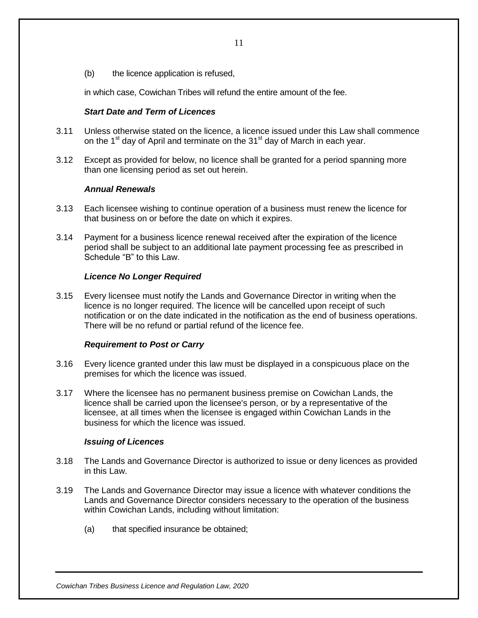(b) the licence application is refused,

in which case, Cowichan Tribes will refund the entire amount of the fee.

#### *Start Date and Term of Licences*

- <span id="page-10-0"></span>3.11 Unless otherwise stated on the licence, a licence issued under this Law shall commence on the 1<sup>st</sup> day of April and terminate on the 31<sup>st</sup> day of March in each year.
- 3.12 Except as provided for below, no licence shall be granted for a period spanning more than one licensing period as set out herein.

#### *Annual Renewals*

- <span id="page-10-1"></span>3.13 Each licensee wishing to continue operation of a business must renew the licence for that business on or before the date on which it expires.
- 3.14 Payment for a business licence renewal received after the expiration of the licence period shall be subject to an additional late payment processing fee as prescribed in Schedule "B" to this Law.

#### *Licence No Longer Required*

<span id="page-10-2"></span>3.15 Every licensee must notify the Lands and Governance Director in writing when the licence is no longer required. The licence will be cancelled upon receipt of such notification or on the date indicated in the notification as the end of business operations. There will be no refund or partial refund of the licence fee.

#### *Requirement to Post or Carry*

- <span id="page-10-3"></span>3.16 Every licence granted under this law must be displayed in a conspicuous place on the premises for which the licence was issued.
- 3.17 Where the licensee has no permanent business premise on Cowichan Lands, the licence shall be carried upon the licensee's person, or by a representative of the licensee, at all times when the licensee is engaged within Cowichan Lands in the business for which the licence was issued.

#### *Issuing of Licences*

- <span id="page-10-4"></span>3.18 The Lands and Governance Director is authorized to issue or deny licences as provided in this Law.
- 3.19 The Lands and Governance Director may issue a licence with whatever conditions the Lands and Governance Director considers necessary to the operation of the business within Cowichan Lands, including without limitation:
	- (a) that specified insurance be obtained;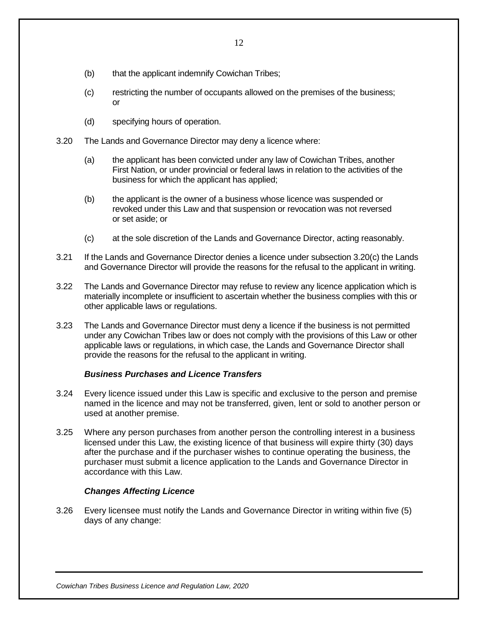- (b) that the applicant indemnify Cowichan Tribes;
- (c) restricting the number of occupants allowed on the premises of the business; or
- (d) specifying hours of operation.
- 3.20 The Lands and Governance Director may deny a licence where:
	- (a) the applicant has been convicted under any law of Cowichan Tribes, another First Nation, or under provincial or federal laws in relation to the activities of the business for which the applicant has applied;
	- (b) the applicant is the owner of a business whose licence was suspended or revoked under this Law and that suspension or revocation was not reversed or set aside; or
	- (c) at the sole discretion of the Lands and Governance Director, acting reasonably.
- 3.21 If the Lands and Governance Director denies a licence under subsection 3.20(c) the Lands and Governance Director will provide the reasons for the refusal to the applicant in writing.
- 3.22 The Lands and Governance Director may refuse to review any licence application which is materially incomplete or insufficient to ascertain whether the business complies with this or other applicable laws or regulations.
- 3.23 The Lands and Governance Director must deny a licence if the business is not permitted under any Cowichan Tribes law or does not comply with the provisions of this Law or other applicable laws or regulations, in which case, the Lands and Governance Director shall provide the reasons for the refusal to the applicant in writing.

#### *Business Purchases and Licence Transfers*

- <span id="page-11-0"></span>3.24 Every licence issued under this Law is specific and exclusive to the person and premise named in the licence and may not be transferred, given, lent or sold to another person or used at another premise.
- 3.25 Where any person purchases from another person the controlling interest in a business licensed under this Law, the existing licence of that business will expire thirty (30) days after the purchase and if the purchaser wishes to continue operating the business, the purchaser must submit a licence application to the Lands and Governance Director in accordance with this Law.

#### *Changes Affecting Licence*

<span id="page-11-1"></span>3.26 Every licensee must notify the Lands and Governance Director in writing within five (5) days of any change: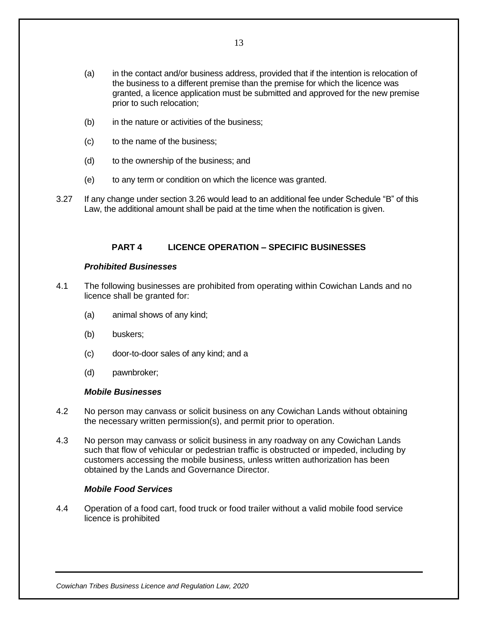- (a) in the contact and/or business address, provided that if the intention is relocation of the business to a different premise than the premise for which the licence was granted, a licence application must be submitted and approved for the new premise prior to such relocation;
- (b) in the nature or activities of the business;
- (c) to the name of the business;
- (d) to the ownership of the business; and
- (e) to any term or condition on which the licence was granted.
- <span id="page-12-0"></span>3.27 If any change under section 3.26 would lead to an additional fee under Schedule "B" of this Law, the additional amount shall be paid at the time when the notification is given.

#### **PART 4 LICENCE OPERATION – SPECIFIC BUSINESSES**

#### *Prohibited Businesses*

- <span id="page-12-1"></span>4.1 The following businesses are prohibited from operating within Cowichan Lands and no licence shall be granted for:
	- (a) animal shows of any kind;
	- (b) buskers;
	- (c) door-to-door sales of any kind; and a
	- (d) pawnbroker;

#### *Mobile Businesses*

- <span id="page-12-2"></span>4.2 No person may canvass or solicit business on any Cowichan Lands without obtaining the necessary written permission(s), and permit prior to operation.
- 4.3 No person may canvass or solicit business in any roadway on any Cowichan Lands such that flow of vehicular or pedestrian traffic is obstructed or impeded, including by customers accessing the mobile business, unless written authorization has been obtained by the Lands and Governance Director.

#### <span id="page-12-3"></span>*Mobile Food Services*

4.4 Operation of a food cart, food truck or food trailer without a valid mobile food service licence is prohibited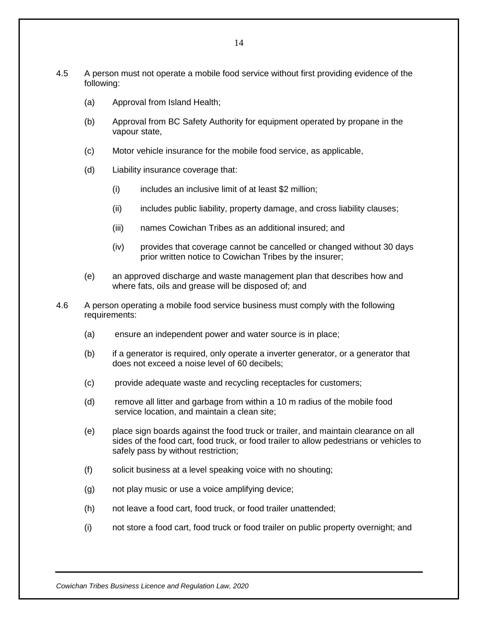- 4.5 A person must not operate a mobile food service without first providing evidence of the following:
	- (a) Approval from Island Health;
	- (b) Approval from BC Safety Authority for equipment operated by propane in the vapour state,
	- (c) Motor vehicle insurance for the mobile food service, as applicable,
	- (d) Liability insurance coverage that:
		- (i) includes an inclusive limit of at least \$2 million;
		- (ii) includes public liability, property damage, and cross liability clauses;
		- (iii) names Cowichan Tribes as an additional insured; and
		- (iv) provides that coverage cannot be cancelled or changed without 30 days prior written notice to Cowichan Tribes by the insurer;
	- (e) an approved discharge and waste management plan that describes how and where fats, oils and grease will be disposed of; and
- 4.6 A person operating a mobile food service business must comply with the following requirements:
	- (a) ensure an independent power and water source is in place;
	- (b) if a generator is required, only operate a inverter generator, or a generator that does not exceed a noise level of 60 decibels;
	- (c) provide adequate waste and recycling receptacles for customers;
	- (d) remove all litter and garbage from within a 10 m radius of the mobile food service location, and maintain a clean site;
	- (e) place sign boards against the food truck or trailer, and maintain clearance on all sides of the food cart, food truck, or food trailer to allow pedestrians or vehicles to safely pass by without restriction;
	- (f) solicit business at a level speaking voice with no shouting;
	- (g) not play music or use a voice amplifying device;
	- (h) not leave a food cart, food truck, or food trailer unattended;
	- (i) not store a food cart, food truck or food trailer on public property overnight; and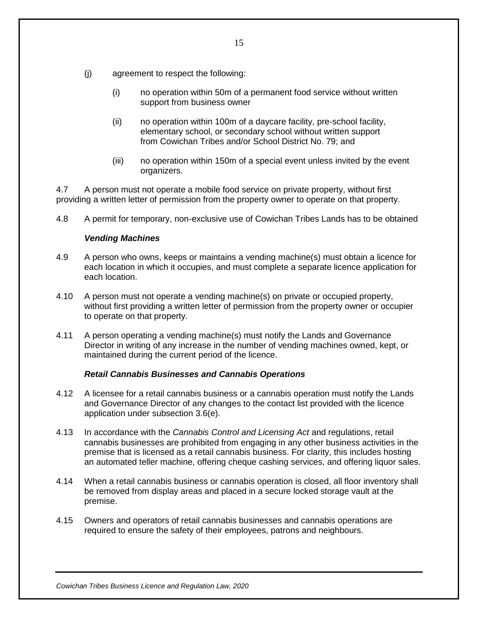- (j) agreement to respect the following:
	- (i) no operation within 50m of a permanent food service without written support from business owner
	- (ii) no operation within 100m of a daycare facility, pre-school facility, elementary school, or secondary school without written support from Cowichan Tribes and/or School District No. 79; and
	- (iii) no operation within 150m of a special event unless invited by the event organizers.

4.7 A person must not operate a mobile food service on private property, without first providing a written letter of permission from the property owner to operate on that property.

4.8 A permit for temporary, non-exclusive use of Cowichan Tribes Lands has to be obtained

## *Vending Machines*

- 4.9 A person who owns, keeps or maintains a vending machine(s) must obtain a licence for each location in which it occupies, and must complete a separate licence application for each location.
- 4.10 A person must not operate a vending machine(s) on private or occupied property, without first providing a written letter of permission from the property owner or occupier to operate on that property.
- 4.11 A person operating a vending machine(s) must notify the Lands and Governance Director in writing of any increase in the number of vending machines owned, kept, or maintained during the current period of the licence.

## *Retail Cannabis Businesses and Cannabis Operations*

- 4.12 A licensee for a retail cannabis business or a cannabis operation must notify the Lands and Governance Director of any changes to the contact list provided with the licence application under subsection 3.6(e).
- 4.13 In accordance with the *Cannabis Control and Licensing Act* and regulations, retail cannabis businesses are prohibited from engaging in any other business activities in the premise that is licensed as a retail cannabis business. For clarity, this includes hosting an automated teller machine, offering cheque cashing services, and offering liquor sales.
- 4.14 When a retail cannabis business or cannabis operation is closed, all floor inventory shall be removed from display areas and placed in a secure locked storage vault at the premise.
- 4.15 Owners and operators of retail cannabis businesses and cannabis operations are required to ensure the safety of their employees, patrons and neighbours.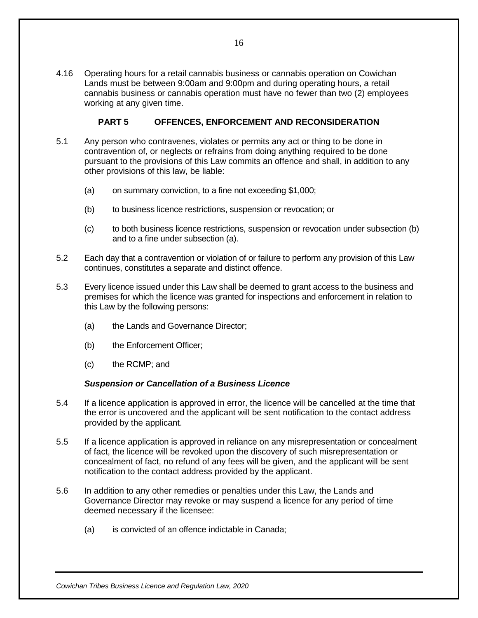4.16 Operating hours for a retail cannabis business or cannabis operation on Cowichan Lands must be between 9:00am and 9:00pm and during operating hours, a retail cannabis business or cannabis operation must have no fewer than two (2) employees working at any given time.

#### **PART 5 OFFENCES, ENFORCEMENT AND RECONSIDERATION**

- <span id="page-15-0"></span>5.1 Any person who contravenes, violates or permits any act or thing to be done in contravention of, or neglects or refrains from doing anything required to be done pursuant to the provisions of this Law commits an offence and shall, in addition to any other provisions of this law, be liable:
	- (a) on summary conviction, to a fine not exceeding \$1,000;
	- (b) to business licence restrictions, suspension or revocation; or
	- (c) to both business licence restrictions, suspension or revocation under subsection (b) and to a fine under subsection (a).
- 5.2 Each day that a contravention or violation of or failure to perform any provision of this Law continues, constitutes a separate and distinct offence.
- 5.3 Every licence issued under this Law shall be deemed to grant access to the business and premises for which the licence was granted for inspections and enforcement in relation to this Law by the following persons:
	- (a) the Lands and Governance Director;
	- (b) the Enforcement Officer;
	- (c) the RCMP; and

#### *Suspension or Cancellation of a Business Licence*

- <span id="page-15-1"></span>5.4 If a licence application is approved in error, the licence will be cancelled at the time that the error is uncovered and the applicant will be sent notification to the contact address provided by the applicant.
- 5.5 If a licence application is approved in reliance on any misrepresentation or concealment of fact, the licence will be revoked upon the discovery of such misrepresentation or concealment of fact, no refund of any fees will be given, and the applicant will be sent notification to the contact address provided by the applicant.
- 5.6 In addition to any other remedies or penalties under this Law, the Lands and Governance Director may revoke or may suspend a licence for any period of time deemed necessary if the licensee:
	- (a) is convicted of an offence indictable in Canada;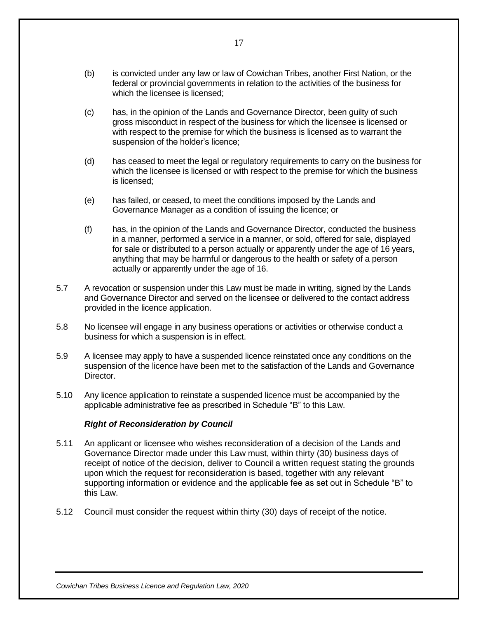- (b) is convicted under any law or law of Cowichan Tribes, another First Nation, or the federal or provincial governments in relation to the activities of the business for which the licensee is licensed:
- (c) has, in the opinion of the Lands and Governance Director, been guilty of such gross misconduct in respect of the business for which the licensee is licensed or with respect to the premise for which the business is licensed as to warrant the suspension of the holder's licence;
- (d) has ceased to meet the legal or regulatory requirements to carry on the business for which the licensee is licensed or with respect to the premise for which the business is licensed;
- (e) has failed, or ceased, to meet the conditions imposed by the Lands and Governance Manager as a condition of issuing the licence; or
- (f) has, in the opinion of the Lands and Governance Director, conducted the business in a manner, performed a service in a manner, or sold, offered for sale, displayed for sale or distributed to a person actually or apparently under the age of 16 years, anything that may be harmful or dangerous to the health or safety of a person actually or apparently under the age of 16.
- 5.7 A revocation or suspension under this Law must be made in writing, signed by the Lands and Governance Director and served on the licensee or delivered to the contact address provided in the licence application.
- 5.8 No licensee will engage in any business operations or activities or otherwise conduct a business for which a suspension is in effect.
- 5.9 A licensee may apply to have a suspended licence reinstated once any conditions on the suspension of the licence have been met to the satisfaction of the Lands and Governance **Director**
- 5.10 Any licence application to reinstate a suspended licence must be accompanied by the applicable administrative fee as prescribed in Schedule "B" to this Law.

#### *Right of Reconsideration by Council*

- <span id="page-16-0"></span>5.11 An applicant or licensee who wishes reconsideration of a decision of the Lands and Governance Director made under this Law must, within thirty (30) business days of receipt of notice of the decision, deliver to Council a written request stating the grounds upon which the request for reconsideration is based, together with any relevant supporting information or evidence and the applicable fee as set out in Schedule "B" to this Law.
- 5.12 Council must consider the request within thirty (30) days of receipt of the notice.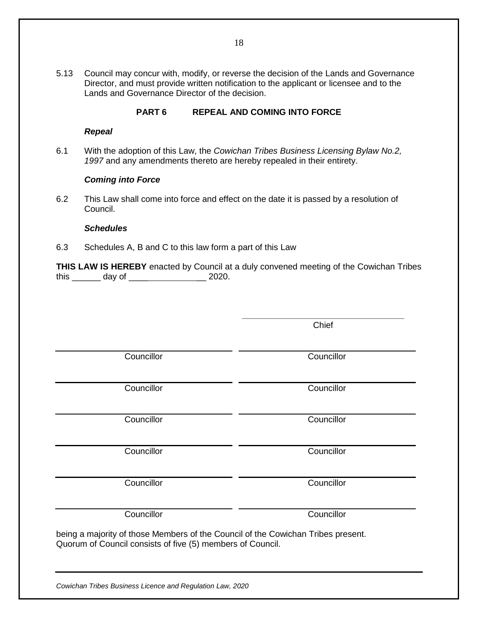5.13 Council may concur with, modify, or reverse the decision of the Lands and Governance Director, and must provide written notification to the applicant or licensee and to the Lands and Governance Director of the decision.

#### **PART 6 REPEAL AND COMING INTO FORCE**

#### *Repeal*

<span id="page-17-0"></span>6.1 With the adoption of this Law, the *Cowichan Tribes Business Licensing Bylaw No.2, 1997* and any amendments thereto are hereby repealed in their entirety.

#### *Coming into Force*

<span id="page-17-1"></span>6.2 This Law shall come into force and effect on the date it is passed by a resolution of Council.

#### *Schedules*

<span id="page-17-2"></span>6.3 Schedules A, B and C to this law form a part of this Law

**THIS LAW IS HEREBY** enacted by Council at a duly convened meeting of the Cowichan Tribes this \_\_\_\_\_\_ day of \_\_\_\_ \_\_ 2020.

> **\_\_\_\_\_\_\_\_\_\_\_\_\_\_\_\_\_\_\_\_\_\_\_\_\_\_\_\_\_\_\_\_\_\_** Chief

Councillor Councillor

Councillor Councillor

Councillor Councillor

Councillor Councillor

Councillor Councillor

Councillor Councillor

being a majority of those Members of the Council of the Cowichan Tribes present. Quorum of Council consists of five (5) members of Council.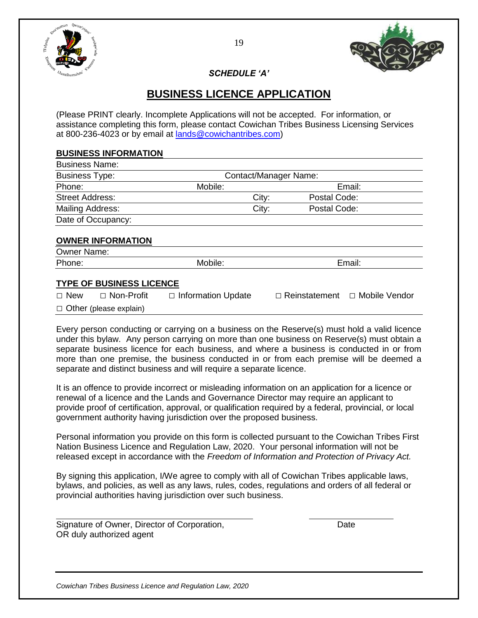

*SCHEDULE 'A'*

# **BUSINESS LICENCE APPLICATION**

<span id="page-18-0"></span>(Please PRINT clearly. Incomplete Applications will not be accepted. For information, or assistance completing this form, please contact Cowichan Tribes Business Licensing Services at 800-236-4023 or by email at [lands@cowichantribes.com\)](mailto:lands@cowichantribes.com)

#### **BUSINESS INFORMATION**

| Contact/Manager Name: |       |              |  |
|-----------------------|-------|--------------|--|
| Mobile:               |       | Email:       |  |
|                       | City: | Postal Code: |  |
|                       | City: | Postal Code: |  |
|                       |       |              |  |
|                       |       |              |  |
|                       |       |              |  |

#### **OWNER INFORMATION**

| Owner<br>Name: |        |        |  |
|----------------|--------|--------|--|
| Phone:         | polle. | ⊏⊞dii. |  |
|                |        |        |  |

#### **TYPE OF BUSINESS LICENCE**

| $\Box$ New | $\Box$ Non-Profit             | $\Box$ Information Update | □ Reinstatement □ Mobile Vendor |  |
|------------|-------------------------------|---------------------------|---------------------------------|--|
|            | $\Box$ Other (please explain) |                           |                                 |  |

Every person conducting or carrying on a business on the Reserve(s) must hold a valid licence under this bylaw. Any person carrying on more than one business on Reserve(s) must obtain a separate business licence for each business, and where a business is conducted in or from more than one premise, the business conducted in or from each premise will be deemed a separate and distinct business and will require a separate licence.

It is an offence to provide incorrect or misleading information on an application for a licence or renewal of a licence and the Lands and Governance Director may require an applicant to provide proof of certification, approval, or qualification required by a federal, provincial, or local government authority having jurisdiction over the proposed business.

Personal information you provide on this form is collected pursuant to the Cowichan Tribes First Nation Business Licence and Regulation Law, 2020. Your personal information will not be released except in accordance with the *Freedom of Information and Protection of Privacy Act.*

By signing this application, I/We agree to comply with all of Cowichan Tribes applicable laws, bylaws, and policies, as well as any laws, rules, codes, regulations and orders of all federal or provincial authorities having jurisdiction over such business.

Signature of Owner, Director of Corporation, The Contract of Corporation, OR duly authorized agent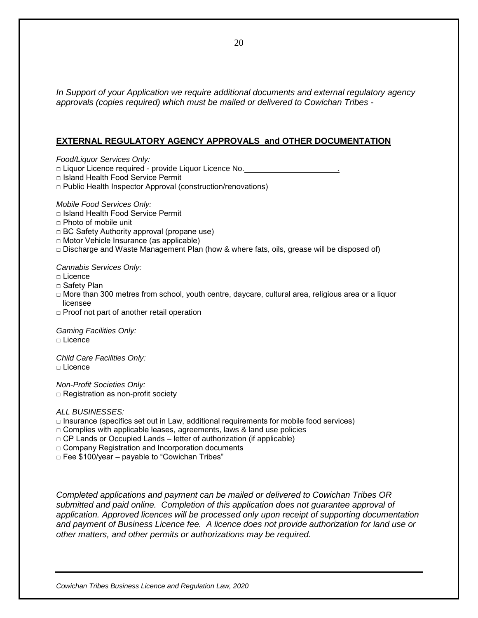*In Support of your Application we require additional documents and external regulatory agency approvals (copies required) which must be mailed or delivered to Cowichan Tribes -*

#### **EXTERNAL REGULATORY AGENCY APPROVALS and OTHER DOCUMENTATION**

*Food/Liquor Services Only:* 

□ Liquor Licence required - provide Liquor Licence No.

□ Island Health Food Service Permit

□ Public Health Inspector Approval (construction/renovations)

*Mobile Food Services Only:* 

- □ Island Health Food Service Permit
- □ Photo of mobile unit
- □ BC Safety Authority approval (propane use)
- □ Motor Vehicle Insurance (as applicable)
- $\Box$  Discharge and Waste Management Plan (how & where fats, oils, grease will be disposed of)

*Cannabis Services Only:* 

- □ Licence
- □ Safety Plan
- $\Box$  More than 300 metres from school, youth centre, daycare, cultural area, religious area or a liquor licensee
- □ Proof not part of another retail operation

*Gaming Facilities Only:*  □ Licence

*Child Care Facilities Only:* □ Licence

*Non-Profit Societies Only:* □ Registration as non-profit society

#### *ALL BUSINESSES:*

- $\Box$  Insurance (specifics set out in Law, additional requirements for mobile food services)
- $\Box$  Complies with applicable leases, agreements, laws & land use policies
- $\Box$  CP Lands or Occupied Lands letter of authorization (if applicable)
- □ Company Registration and Incorporation documents

□ Fee \$100/year – payable to "Cowichan Tribes"

*Completed applications and payment can be mailed or delivered to Cowichan Tribes OR submitted and paid online. Completion of this application does not guarantee approval of application. Approved licences will be processed only upon receipt of supporting documentation and payment of Business Licence fee. A licence does not provide authorization for land use or other matters, and other permits or authorizations may be required.*